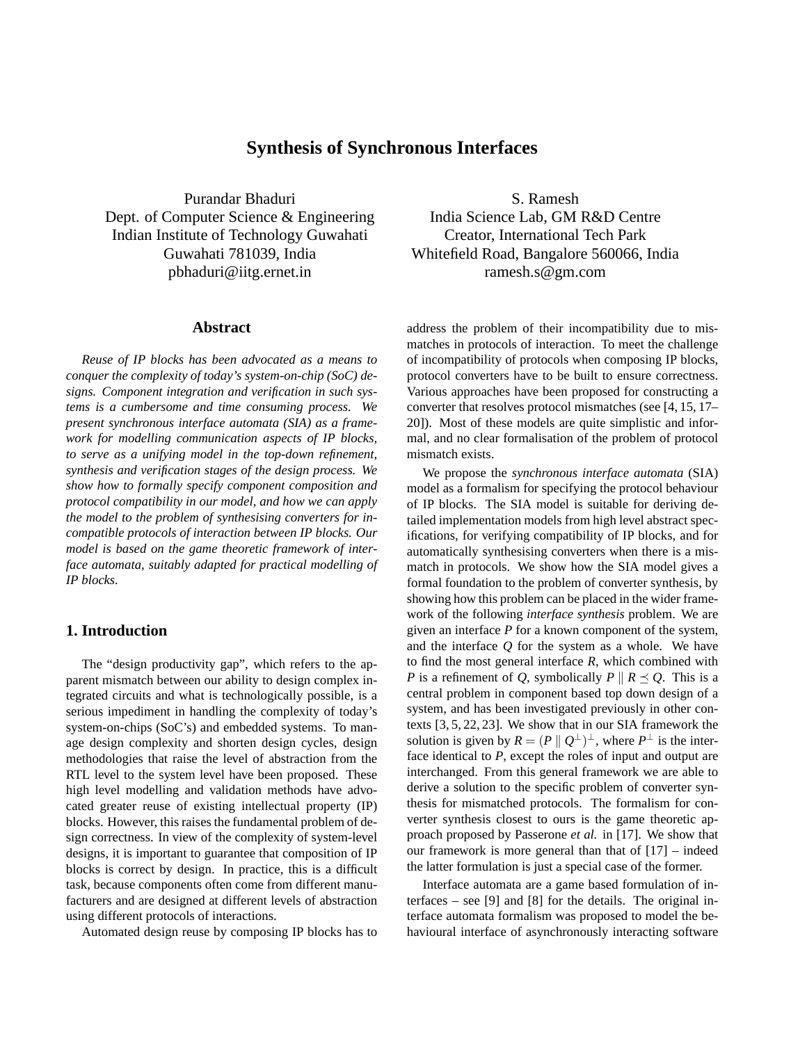## **Synthesis of Synchronous Interfaces**

Purandar Bhaduri Dept. of Computer Science & Engineering Indian Institute of Technology Guwahati Guwahati 781039, India pbhaduri@iitg.ernet.in

#### **Abstract**

*Reuse of IP blocks has been advocated as a means to conquer the complexity of today's system-on-chip (SoC) designs. Component integration and verification in such systems is a cumbersome and time consuming process. We present synchronous interface automata (SIA) as a framework for modelling communication aspects of IP blocks, to serve as a unifying model in the top-down refinement, synthesis and verification stages of the design process. We show how to formally specify component composition and protocol compatibility in our model, and how we can apply the model to the problem of synthesising converters for incompatible protocols of interaction between IP blocks. Our model is based on the game theoretic framework of interface automata, suitably adapted for practical modelling of IP blocks.*

### **1. Introduction**

The "design productivity gap", which refers to the apparent mismatch between our ability to design complex integrated circuits and what is technologically possible, is a serious impediment in handling the complexity of today's system-on-chips (SoC's) and embedded systems. To manage design complexity and shorten design cycles, design methodologies that raise the level of abstraction from the RTL level to the system level have been proposed. These high level modelling and validation methods have advocated greater reuse of existing intellectual property (IP) blocks. However, this raises the fundamental problem of design correctness. In view of the complexity of system-level designs, it is important to guarantee that composition of IP blocks is correct by design. In practice, this is a difficult task, because components often come from different manufacturers and are designed at different levels of abstraction using different protocols of interactions.

Automated design reuse by composing IP blocks has to

S. Ramesh India Science Lab, GM R&D Centre Creator, International Tech Park Whitefield Road, Bangalore 560066, India ramesh.s@gm.com

address the problem of their incompatibility due to mismatches in protocols of interaction. To meet the challenge of incompatibility of protocols when composing IP blocks, protocol converters have to be built to ensure correctness. Various approaches have been proposed for constructing a converter that resolves protocol mismatches (see [4, 15, 17– 20]). Most of these models are quite simplistic and informal, and no clear formalisation of the problem of protocol mismatch exists.

We propose the *synchronous interface automata* (SIA) model as a formalism for specifying the protocol behaviour of IP blocks. The SIA model is suitable for deriving detailed implementation models from high level abstract specifications, for verifying compatibility of IP blocks, and for automatically synthesising converters when there is a mismatch in protocols. We show how the SIA model gives a formal foundation to the problem of converter synthesis, by showing how this problem can be placed in the wider framework of the following *interface synthesis* problem. We are given an interface *P* for a known component of the system, and the interface *Q* for the system as a whole. We have to find the most general interface *R*, which combined with *P* is a refinement of *Q*, symbolically  $P \parallel R \prec Q$ . This is a central problem in component based top down design of a system, and has been investigated previously in other contexts [3, 5, 22, 23]. We show that in our SIA framework the solution is given by  $R = (P \parallel Q^{\perp})^{\perp}$ , where  $P^{\perp}$  is the interface identical to *P*, except the roles of input and output are interchanged. From this general framework we are able to derive a solution to the specific problem of converter synthesis for mismatched protocols. The formalism for converter synthesis closest to ours is the game theoretic approach proposed by Passerone *et al.* in [17]. We show that our framework is more general than that of [17] – indeed the latter formulation is just a special case of the former.

Interface automata are a game based formulation of interfaces – see [9] and [8] for the details. The original interface automata formalism was proposed to model the behavioural interface of asynchronously interacting software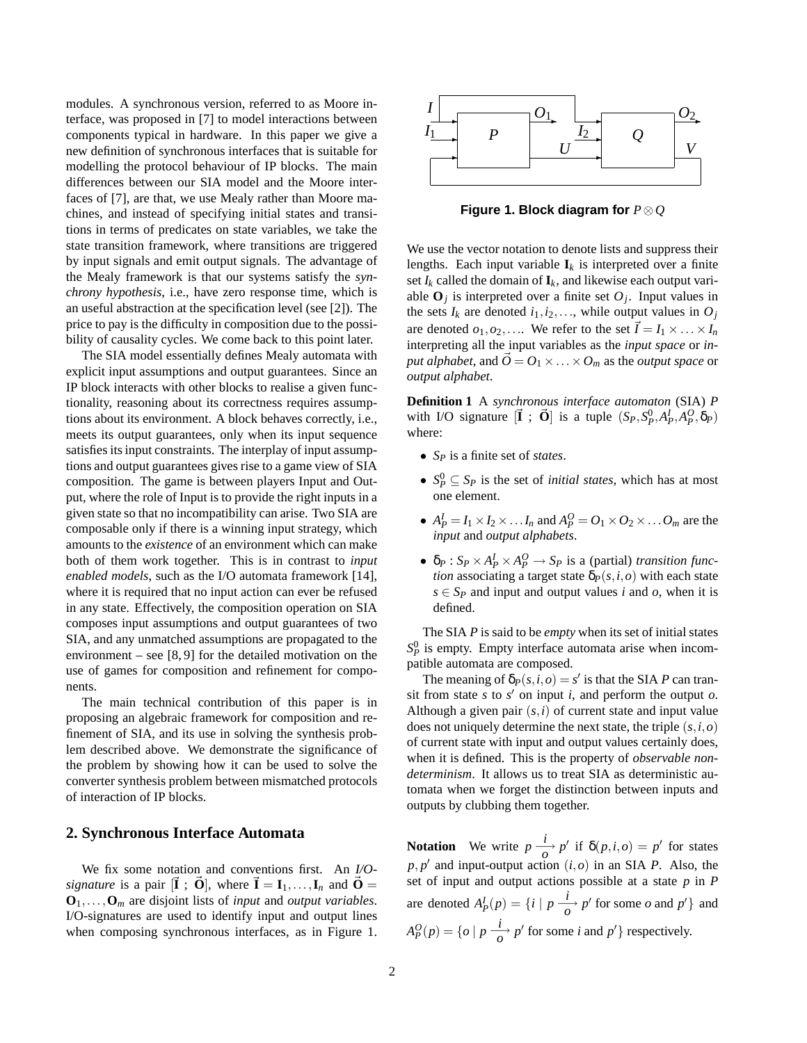modules. A synchronous version, referred to as Moore interface, was proposed in [7] to model interactions between components typical in hardware. In this paper we give a new definition of synchronous interfaces that is suitable for modelling the protocol behaviour of IP blocks. The main differences between our SIA model and the Moore interfaces of [7], are that, we use Mealy rather than Moore machines, and instead of specifying initial states and transitions in terms of predicates on state variables, we take the state transition framework, where transitions are triggered by input signals and emit output signals. The advantage of the Mealy framework is that our systems satisfy the *synchrony hypothesis*, i.e., have zero response time, which is an useful abstraction at the specification level (see [2]). The price to pay is the difficulty in composition due to the possibility of causality cycles. We come back to this point later.

The SIA model essentially defines Mealy automata with explicit input assumptions and output guarantees. Since an IP block interacts with other blocks to realise a given functionality, reasoning about its correctness requires assumptions about its environment. A block behaves correctly, i.e., meets its output guarantees, only when its input sequence satisfies its input constraints. The interplay of input assumptions and output guarantees gives rise to a game view of SIA composition. The game is between players Input and Output, where the role of Input is to provide the right inputs in a given state so that no incompatibility can arise. Two SIA are composable only if there is a winning input strategy, which amounts to the *existence* of an environment which can make both of them work together. This is in contrast to *input enabled models*, such as the I/O automata framework [14], where it is required that no input action can ever be refused in any state. Effectively, the composition operation on SIA composes input assumptions and output guarantees of two SIA, and any unmatched assumptions are propagated to the environment – see  $[8, 9]$  for the detailed motivation on the use of games for composition and refinement for components.

The main technical contribution of this paper is in proposing an algebraic framework for composition and refinement of SIA, and its use in solving the synthesis problem described above. We demonstrate the significance of the problem by showing how it can be used to solve the converter synthesis problem between mismatched protocols of interaction of IP blocks.

### **2. Synchronous Interface Automata**

We fix some notation and conventions first. An *I/Osignature* is a pair  $[\mathbf{\vec{I}}; \mathbf{\vec{O}}]$ , where  $\mathbf{\vec{I}} = \mathbf{I}_1, \dots, \mathbf{I}_n$  and  $\mathbf{\vec{O}} =$  $\mathbf{O}_1, \ldots, \mathbf{O}_m$  are disjoint lists of *input* and *output variables*. I/O-signatures are used to identify input and output lines when composing synchronous interfaces, as in Figure 1.



**Figure 1. Block diagram for** *P*⊗*Q*

We use the vector notation to denote lists and suppress their lengths. Each input variable  $\mathbf{I}_k$  is interpreted over a finite set  $I_k$  called the domain of  $\mathbf{I}_k$ , and likewise each output variable  $O_j$  is interpreted over a finite set  $O_j$ . Input values in the sets  $I_k$  are denoted  $i_1, i_2, \ldots$ , while output values in  $O_j$ are denoted  $o_1, o_2, \ldots$  We refer to the set  $\vec{I} = I_1 \times \ldots \times I_n$ interpreting all the input variables as the *input space* or *input alphabet*, and  $\dot{O} = O_1 \times \ldots \times O_m$  as the *output space* or *output alphabet*.

**Definition 1** A *synchronous interface automaton* (SIA) *P* with I/O signature  $[\vec{\mathbf{I}}]$ ;  $\vec{\mathbf{O}}]$  is a tuple  $(S_P, S_P^0, A_P^I, A_P^O, \delta_P)$ where:

- *S<sup>P</sup>* is a finite set of *states*.
- $S_P^0 \subseteq S_P$  is the set of *initial states*, which has at most one element.
- $A_P^I = I_1 \times I_2 \times \ldots I_n$  and  $A_P^O = O_1 \times O_2 \times \ldots O_m$  are the *input* and *output alphabets*.
- $\delta_P$ :  $S_P \times A_P^I \times A_P^O \rightarrow S_P$  is a (partial) *transition function* associating a target state  $\delta_P(s, i, o)$  with each state  $s \in S_p$  and input and output values *i* and *o*, when it is defined.

The SIA *P* is said to be *empty* when its set of initial states  $S_P^0$  is empty. Empty interface automata arise when incompatible automata are composed.

The meaning of  $\delta_P(s, i, o) = s'$  is that the SIA *P* can transit from state  $s$  to  $s'$  on input  $i$ , and perform the output  $o$ . Although a given pair  $(s, i)$  of current state and input value does not uniquely determine the next state, the triple  $(s, i, o)$ of current state with input and output values certainly does, when it is defined. This is the property of *observable nondeterminism*. It allows us to treat SIA as deterministic automata when we forget the distinction between inputs and outputs by clubbing them together.

**Notation** We write  $p \frac{i}{o} p'$  if  $\delta(p, i, o) = p'$  for states  $p, p'$  and input-output action  $(i, o)$  in an SIA *P*. Also, the set of input and output actions possible at a state *p* in *P* are denoted  $A_P^I(p) = \{i \mid p \stackrel{i}{\rightarrow} p' \text{ for some } o \text{ and } p'\}$  and  $A_P^O(p) = \{ o \mid p \stackrel{i}{\longrightarrow} p' \text{ for some } i \text{ and } p' \}$  respectively.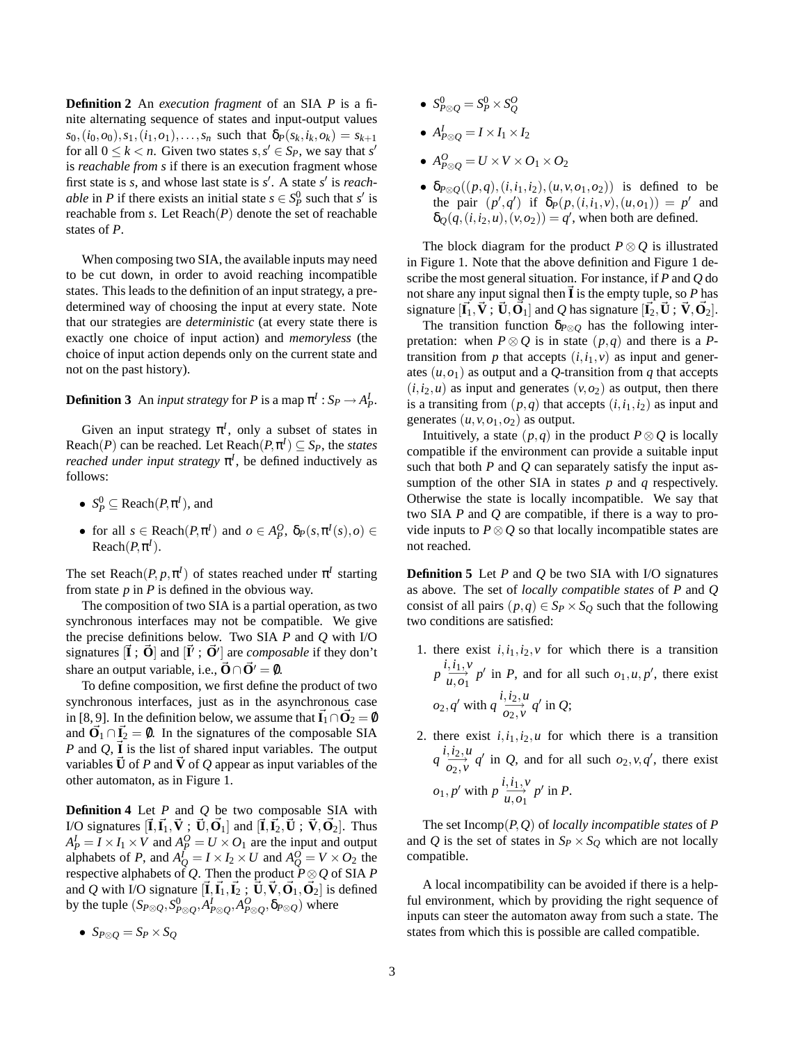**Definition 2** An *execution fragment* of an SIA *P* is a finite alternating sequence of states and input-output values  $s_0$ ,  $(i_0, o_0)$ ,  $s_1$ ,  $(i_1, o_1)$ ,..., $s_n$  such that  $\delta_P(s_k, i_k, o_k) = s_{k+1}$ for all  $0 \le k < n$ . Given two states  $s, s' \in S_P$ , we say that  $s'$ is *reachable from s* if there is an execution fragment whose first state is  $s$ , and whose last state is  $s'$ . A state  $s'$  is *reachable* in *P* if there exists an initial state  $s \in S_p^0$  such that *s'* is reachable from *s*. Let Reach(*P*) denote the set of reachable states of *P*.

When composing two SIA, the available inputs may need to be cut down, in order to avoid reaching incompatible states. This leads to the definition of an input strategy, a predetermined way of choosing the input at every state. Note that our strategies are *deterministic* (at every state there is exactly one choice of input action) and *memoryless* (the choice of input action depends only on the current state and not on the past history).

# **Definition 3** An *input strategy* for *P* is a map  $\pi^I : S_P \to A_P^I$ .

Given an input strategy  $\pi^I$ , only a subset of states in  $\text{Reach}(P)$  can be reached. Let  $\text{Reach}(P, \pi^I) \subseteq S_P$ , the *states reached under input strategy*  $\pi^{I}$ , be defined inductively as follows:

- $S_P^0 \subseteq \text{Reach}(P, \pi^I)$ , and
- for all  $s \in \text{Reach}(P, \pi^I)$  and  $o \in A_P^O$ ,  $\delta_P(s, \pi^I(s), o) \in$  $\text{Reach}(P, \pi^I)$ .

The set Reach $(P, p, \pi^I)$  of states reached under  $\pi^I$  starting from state *p* in *P* is defined in the obvious way.

The composition of two SIA is a partial operation, as two synchronous interfaces may not be compatible. We give the precise definitions below. Two SIA *P* and *Q* with I/O signatures  $[\vec{\mathbf{I}}; \vec{\mathbf{O}}]$  and  $[\vec{\mathbf{I}}'; \vec{\mathbf{O}}']$  are *composable* if they don't share an output variable, i.e.,  $\vec{\mathbf{O}} \cap \vec{\mathbf{O}}' = \emptyset$ .

To define composition, we first define the product of two synchronous interfaces, just as in the asynchronous case in [8, 9]. In the definition below, we assume that  $\vec{I}_1 \cap \vec{O}_2 = \emptyset$ and  $\vec{O}_1 \cap \vec{I}_2 = \emptyset$ . In the signatures of the composable SIA *P* and  $Q$ ,  $\vec{\mathbf{I}}$  is the list of shared input variables. The output variables  $\bar{U}$  of *P* and  $\bar{V}$  of *Q* appear as input variables of the other automaton, as in Figure 1.

**Definition 4** Let *P* and *Q* be two composable SIA with I/O signatures  $[\vec{\bf I}, \vec{\bf I}_1, \vec{\bf V}$  ;  $\vec{\bf U}, \vec{\bf O}_1]$  and  $[\vec{\bf I}, \vec{\bf I}_2, \vec{\bf U}$  ;  $\vec{\bf V}, \vec{\bf O}_2]$ . Thus  $A_P^I = I \times I_1 \times V$  and  $A_P^O = U \times O_1$  are the input and output alphabets of *P*, and  $A_Q^f = I \times I_2 \times U$  and  $A_Q^O = V \times O_2$  the respective alphabets of *Q*. Then the product *P*⊗*Q* of SIA *P* and Q with I/O signature  $[\vec{I}, \vec{I}_1, \vec{I}_2; \vec{U}, \vec{V}, \vec{O}_1, \vec{O}_2]$  is defined by the tuple  $(S_{P\otimes Q}, S^0_{P\otimes Q}, A^I_{P\otimes Q}, A^O_{P\otimes Q}, \delta_{P\otimes Q})$  where

• *SP*⊗*<sup>Q</sup>* = *S<sup>P</sup>* ×*S<sup>Q</sup>*

- $\bullet$  *S*<sup>0</sup><sub>*P*⊗*Q*</sub> = *S*<sup>0</sup><sub>*P*</sub> × *S*<sup>*O*</sup><sub>*Q*</sub>
- $A_{P\otimes Q}^I = I \times I_1 \times I_2$
- $\bullet$   $A_{P\otimes Q}^O=U\times V\times O_1\times O_2$
- $δ_{P\otimes Q}((p,q),(i,i_1,i_2),(u,v,o_1,o_2))$  is defined to be the pair  $(p', q')$  if  $\delta_P(p, (i, i_1, v), (u, o_1)) = p'$  and  $\delta_Q(q, (i, i_2, u), (v, o_2)) = q'$ , when both are defined.

The block diagram for the product  $P \otimes Q$  is illustrated in Figure 1. Note that the above definition and Figure 1 describe the most general situation. For instance, if *P* and *Q* do not share any input signal then  $\vec{I}$  is the empty tuple, so *P* has signature  $[\vec{I}_1, \vec{V}$ ;  $\vec{U}, \vec{O}_1]$  and Q has signature  $[\vec{I}_2, \vec{U}$ ;  $\vec{V}, \vec{O}_2]$ .

The transition function  $\delta_{P\otimes Q}$  has the following interpretation: when  $P \otimes Q$  is in state  $(p,q)$  and there is a *P*transition from *p* that accepts  $(i, i_1, v)$  as input and generates  $(u, o_1)$  as output and a *Q*-transition from *q* that accepts  $(i, i<sub>2</sub>, u)$  as input and generates  $(v, o<sub>2</sub>)$  as output, then there is a transiting from  $(p,q)$  that accepts  $(i, i<sub>1</sub>, i<sub>2</sub>)$  as input and generates  $(u, v, o_1, o_2)$  as output.

Intuitively, a state  $(p,q)$  in the product  $P \otimes Q$  is locally compatible if the environment can provide a suitable input such that both  $P$  and  $Q$  can separately satisfy the input assumption of the other SIA in states *p* and *q* respectively. Otherwise the state is locally incompatible. We say that two SIA *P* and *Q* are compatible, if there is a way to provide inputs to  $P \otimes Q$  so that locally incompatible states are not reached.

**Definition 5** Let *P* and *Q* be two SIA with I/O signatures as above. The set of *locally compatible states* of *P* and *Q* consist of all pairs  $(p,q) \in S_P \times S_Q$  such that the following two conditions are satisfied:

- 1. there exist  $i, i_1, i_2, v$  for which there is a transition  $p \frac{i, i_1, v}{u, o_1} p'$  in *P*, and for all such  $o_1, u, p'$ , there exist  $o_2$ , *q*' with *q*<sup>*i*</sup>,  $\frac{i, i_2, u}{o_2, v}$ *q*' in *Q*;
- 2. there exist  $i, i_1, i_2, u$  for which there is a transition  $q \frac{i}{\omega_2, v}$ , *i*<sub>2</sub>, *i*<sub>2</sub> (*i*<sub>1</sub>, *i*<sub>2</sub>, *i*<sub>2</sub> (*i*<sub>1</sub>, *i*<sub>2</sub>) (*i*<sub>1</sub>) (*i*<sub>2</sub>) (*i*<sub>2</sub>) (*i*<sub>1</sub>) (*i*<sub>22</sub>) (*i*<sub>1</sub>) (*i*<sub>12</sub>) (*i*<sub>12</sub>) (*i*<sub>12</sub>) (*i*<sub>12</sub>) (*i*<sub>12</sub>) (*i*<sub>12</sub>) (*i*<sub>12</sub>) (*i*<sub>12</sub>) (*i*<sub>12</sub>) (*i*  $o_1, p'$  with  $p \frac{i, i_1, v}{u, o_1} p'$  in *P*.

The set Incomp(*P*,*Q*) of *locally incompatible states* of *P* and *Q* is the set of states in  $S_P \times S_Q$  which are not locally compatible.

A local incompatibility can be avoided if there is a helpful environment, which by providing the right sequence of inputs can steer the automaton away from such a state. The states from which this is possible are called compatible.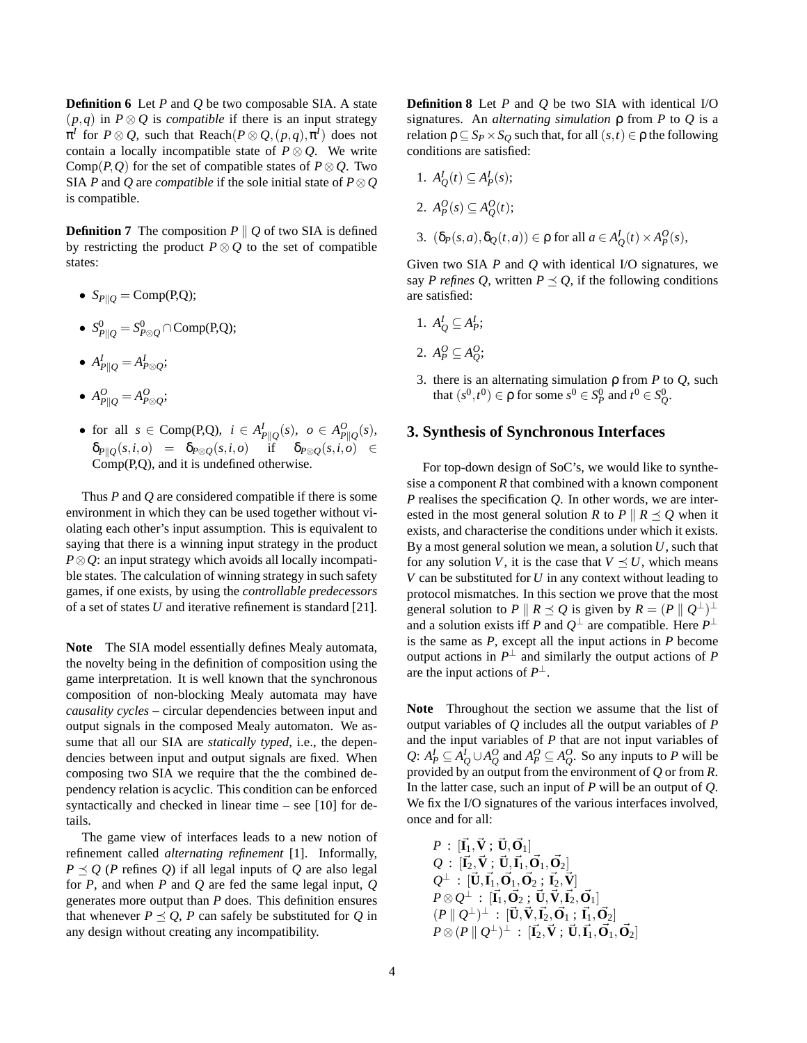**Definition 6** Let *P* and *Q* be two composable SIA. A state  $(p,q)$  in  $P \otimes Q$  is *compatible* if there is an input strategy  $\pi^I$  for  $P \otimes Q$ , such that  $\text{Reach}(P \otimes Q, (p,q), \pi^I)$  does not contain a locally incompatible state of  $P \otimes Q$ . We write Comp $(P, Q)$  for the set of compatible states of  $P \otimes Q$ . Two SIA *P* and *Q* are *compatible* if the sole initial state of *P*⊗*Q* is compatible.

**Definition 7** The composition  $P \parallel Q$  of two SIA is defined by restricting the product  $P \otimes Q$  to the set of compatible states:

- $S_{P\parallel Q}$  = Comp(P,Q);
- $S_{P\|Q}^0 = S_{P\otimes Q}^0 \cap \text{Comp}(P,Q);$
- $A_{P\parallel Q}^I = A_{P\otimes Q}^I;$
- $A_{P\parallel Q}^O = A_{P\otimes Q}^O;$
- for all  $s \in \text{Comp}(P,Q)$ ,  $i \in A_{P||Q}^I(s)$ ,  $o \in A_{P||Q}^O(s)$ ,  $\delta_{P\|Q}(s,i,o) = \delta_{P\otimes Q}(s,i,o)$  if  $\delta_{P\otimes Q}(s,i,o) \in$ Comp(P,Q), and it is undefined otherwise.

Thus *P* and *Q* are considered compatible if there is some environment in which they can be used together without violating each other's input assumption. This is equivalent to saying that there is a winning input strategy in the product *P*⊗*Q*: an input strategy which avoids all locally incompatible states. The calculation of winning strategy in such safety games, if one exists, by using the *controllable predecessors* of a set of states *U* and iterative refinement is standard [21].

**Note** The SIA model essentially defines Mealy automata, the novelty being in the definition of composition using the game interpretation. It is well known that the synchronous composition of non-blocking Mealy automata may have *causality cycles* – circular dependencies between input and output signals in the composed Mealy automaton. We assume that all our SIA are *statically typed*, i.e., the dependencies between input and output signals are fixed. When composing two SIA we require that the the combined dependency relation is acyclic. This condition can be enforced syntactically and checked in linear time – see [10] for details.

The game view of interfaces leads to a new notion of refinement called *alternating refinement* [1]. Informally,  $P \leq Q$  (*P* refines *Q*) if all legal inputs of *Q* are also legal for *P*, and when *P* and *Q* are fed the same legal input, *Q* generates more output than *P* does. This definition ensures that whenever  $P \leq Q$ , *P* can safely be substituted for *Q* in any design without creating any incompatibility.

**Definition 8** Let *P* and *Q* be two SIA with identical I/O signatures. An *alternating simulation* ρ from *P* to *Q* is a relation  $\rho \subseteq S_P \times S_Q$  such that, for all  $(s,t) \in \rho$  the following conditions are satisfied:

\n- 1. 
$$
A_Q^I(t) \subseteq A_P^I(s);
$$
\n- 2.  $A_P^O(s) \subseteq A_Q^O(t);$
\n- 3.  $(\delta_P(s, a), \delta_Q(t, a)) \in \rho \text{ for all } a \in A_Q^I(t) \times A_P^O(s),$
\n

Given two SIA *P* and *Q* with identical I/O signatures, we say *P refines Q*, written  $P \leq Q$ , if the following conditions are satisfied:

- 1.  $A_Q^I \subseteq A_P^I$ ; 2.  $A_P^O \subseteq A_Q^O;$
- 3. there is an alternating simulation ρ from *P* to *Q*, such that  $(s^0, t^0) \in \rho$  for some  $s^0 \in S_P^0$  and  $t^0 \in S_Q^0$ .

### **3. Synthesis of Synchronous Interfaces**

For top-down design of SoC's, we would like to synthesise a component *R* that combined with a known component *P* realises the specification *Q*. In other words, we are interested in the most general solution *R* to *P* ||  $R \le Q$  when it exists, and characterise the conditions under which it exists. By a most general solution we mean, a solution *U*, such that for any solution *V*, it is the case that  $V \preceq U$ , which means *V* can be substituted for *U* in any context without leading to protocol mismatches. In this section we prove that the most general solution to  $P \parallel R \le Q$  is given by  $R = (P \parallel Q^{\perp})^{\perp}$ and a solution exists iff *P* and  $Q^{\perp}$  are compatible. Here  $P^{\perp}$ is the same as *P*, except all the input actions in *P* become output actions in  $P^{\perp}$  and similarly the output actions of *P* are the input actions of  $P^{\perp}$ .

**Note** Throughout the section we assume that the list of output variables of *Q* includes all the output variables of *P* and the input variables of *P* that are not input variables of Q:  $A_P^I \subseteq A_Q^I \cup A_Q^O$  and  $A_P^O \subseteq A_Q^O$ . So any inputs to *P* will be provided by an output from the environment of *Q* or from *R*. In the latter case, such an input of *P* will be an output of *Q*. We fix the I/O signatures of the various interfaces involved, once and for all:

 $P$  :  $[\vec{\mathbf{I}}_1,\vec{\mathbf{V}}~;~\vec{\mathbf{U}},\vec{\mathbf{O}}_1]$  $Q$  :  $[\vec{\mathbf{I}}_2,\vec{\mathbf{V}}~;~\vec{\mathbf{U}},\vec{\mathbf{I}}_1,\vec{\mathbf{O}}_1,\vec{\mathbf{O}}_2]$  $Q^{\perp}$  :  $[\vec{\textbf{U}},\vec{\textbf{I}}_1,\vec{\textbf{O}}_1,\vec{\textbf{O}}_2$  ;  $\vec{\textbf{I}}_2,\vec{\textbf{V}}]$  $P\otimes Q^{\perp}~:~[\vec{{\bf I}}_1,\vec{{\bf O}}_2~;~\vec{{\bf U}},\vec{{\bf V}},\vec{{\bf I}}_2,\vec{{\bf O}}_1]$  $(P \parallel Q^{\perp})^{\perp}$ :  $[\vec{U}, \vec{V}, \vec{I_2}, \vec{O}_1; \vec{I_1}, \vec{O}_2]$  $P \otimes (P \parallel Q^{\perp})^{\perp}$  :  $[\vec{{\bf I}}_2^{\,}, \vec{{\bf V}}$  ;  $\vec{{\bf U}}, \vec{{\bf I}}_1^{\,}, \vec{{\bf O}}_1^{\,}, \vec{{\bf O}}_2^{\,}]$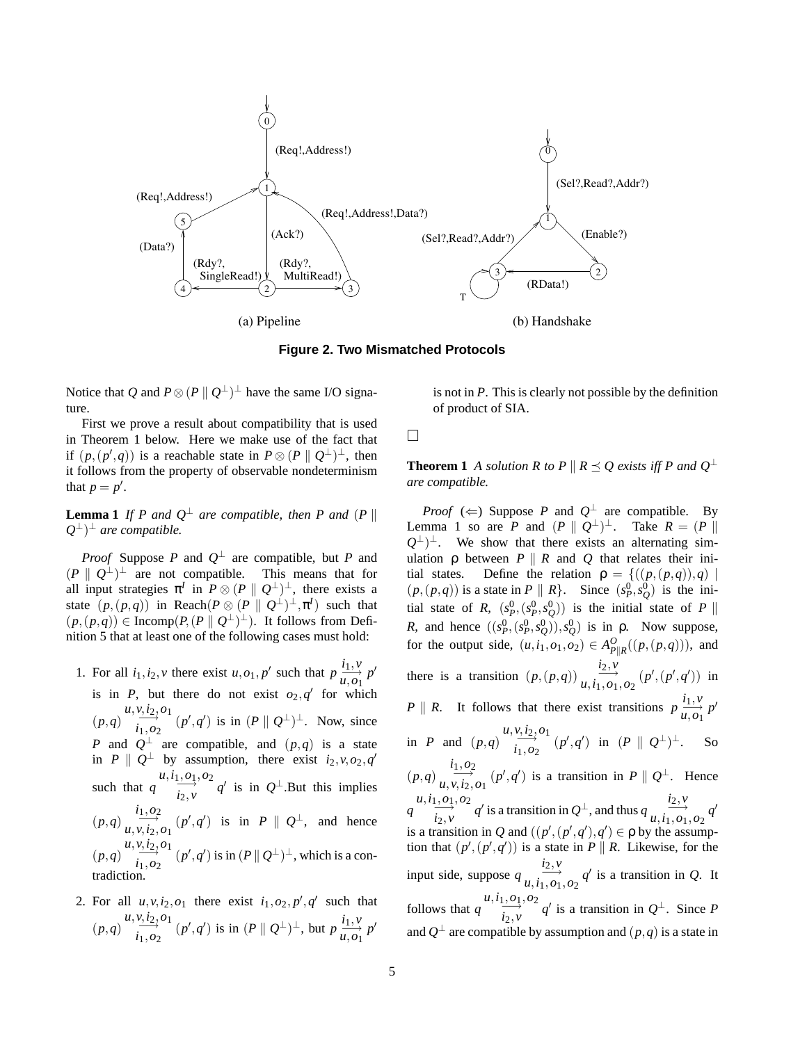

**Figure 2. Two Mismatched Protocols**

Notice that Q and  $P \otimes (P \parallel Q^{\perp})^{\perp}$  have the same I/O signature.

First we prove a result about compatibility that is used in Theorem 1 below. Here we make use of the fact that if  $(p, (p', q))$  is a reachable state in  $P \otimes (P \parallel Q^{\perp})^{\perp}$ , then it follows from the property of observable nondeterminism that  $p = p'$ .

**Lemma 1** *If P* and  $Q^{\perp}$  are compatible, then *P* and (*P* \|  $Q^{\perp})^{\perp}$  are compatible.

*Proof* Suppose *P* and  $Q^{\perp}$  are compatible, but *P* and  $(P \parallel Q^{\perp})^{\perp}$  are not compatible. This means that for all input strategies  $\pi^I$  in  $P \otimes (P \parallel Q^{\perp})^{\perp}$ , there exists a state  $(p,(p,q))$  in Reach $(P \otimes (P \parallel Q^{\perp})^{\perp}, \pi^I)$  such that  $(p,(p,q)) \in \text{Incomp}(P,(P \parallel Q^{\perp})^{\perp}).$  It follows from Definition 5 that at least one of the following cases must hold:

- 1. For all  $i_1, i_2, v$  there exist  $u, o_1, p'$  such that  $p \frac{i_1, v}{u, o_1} p'$ is in *P*, but there do not exist  $o_2$ , *q*<sup> $\prime$ </sup> for which  $(p,q)$ <sup> $u, v, i_2, o_1$ </sup>  $\frac{\partial^2 z}{\partial q_1, q_2}$  (*p'*,*q'*) is in  $(P \parallel Q^{\perp})^{\perp}$ . Now, since *P* and  $Q^{\perp}$  are compatible, and  $(p,q)$  is a state in *P*  $\parallel Q^{\perp}$  by assumption, there exist *i*<sub>2</sub>, *v*, *o*<sub>2</sub>, *q*<sup>'</sup> such that  $q \frac{u, i_1, o_1, o_2}{\cdot}$  $\frac{1}{i_2, v}$   $\frac{1}{i_2, v}$  *q*' is in *Q*<sup>⊥</sup>.But this implies  $(p,q)$ <sup> $i_1, o_2$ </sup>  $\lim_{u,v,i_2, o_1} \frac{u,v_2}{v_1}$  (*p'*, *q'*) is in *P*  $\parallel Q^{\perp}$ , and hence  $(p,q) \xrightarrow{i, v, i_2, o_1}$  $\frac{\partial^2 Z_2}{\partial q_1, q_2}$  (*p'*, *q'*) is in  $(P \parallel Q^{\perp})^{\perp}$ , which is a contradiction
- 2. For all  $u, v, i_2, o_1$  there exist  $i_1, o_2, p', q'$  such that  $(p,q)$ <sup> $u, v, i_2, o_1$ </sup>  $\frac{y, i_2, o_1}{i_1, o_2}$   $(p', q')$  is in  $(P \parallel Q^{\perp})^{\perp}$ , but  $p \frac{i_1, v}{u, o_1} p'$

is not in *P*. This is clearly not possible by the definition of product of SIA.

 $\Box$ 

**Theorem 1** *A solution R to P*  $\parallel$  *R*  $\prec$  *O exists iff P and O*<sup>⊥</sup> *are compatible.*

*Proof* ( $\Leftarrow$ ) Suppose *P* and  $Q^{\perp}$  are compatible. By Lemma 1 so are *P* and  $(P \parallel Q^{\perp})^{\perp}$ . Take  $R = (P \parallel$  $Q^{\perp}$ )<sup> $\perp$ </sup>. We show that there exists an alternating simulation  $\rho$  between  $P \parallel R$  and  $Q$  that relates their initial states. Define the relation  $\rho = \{((p, (p, q)), q) \mid$  $(p,(p,q))$  is a state in *P* || *R*}. Since  $(s_p^0, s_Q^0)$  is the initial state of *R*,  $(s_P^0, (s_P^0, s_Q^0))$  is the initial state of *P* || *R*, and hence  $((s_P^0, (s_P^0, s_Q^0)), s_Q^0)$  is in  $\rho$ . Now suppose, for the output side,  $(u, i_1, o_1, o_2) \in A^O_{P||R}((p, (p, q))),$  and there is a transition  $(p,(p,q))$  $\frac{i_2, v}{\longrightarrow}$  $u, i_1, o_1, o_2$  (*p*<sup>*'*</sup>, (*p'*, *q'*)) in *P* || *R*. It follows that there exist transitions  $p \frac{i_1, v}{u, o_1} p'$ in *P* and  $(p,q)$   $\frac{u, v, i_2, o_1}{\cdot}$  $\frac{1}{i_1, o_2}$  (*p'*,*q'*) in (*P* || *Q*<sup>⊥</sup>) <sup>⊥</sup>. So  $(p,q)$ <sup> $i_1, o_2$ </sup>  $\mu, \nu, i_2, o_1$  (*p'*,*q'*) is a transition in *P*  $\parallel Q^\perp$ . Hence  $q \xrightarrow{i_1, o_1, o_2}$  $\frac{i_1, o_1}{i_2, v}$  *q'* is a transition in  $Q^{\perp}$ , and thus *q*<sub>*u*, *i*<sub>1</sub>, *o*<sub>1</sub></sub>  $\overrightarrow{u}$ ,*i*<sub>1</sub>,*o*<sub>1</sub>,*o*<sub>2</sub></sub> $q'$ is a transition in *Q* and  $((p', (p', q'), q') \in \rho$  by the assumption that  $(p', (p', q'))$  is a state in *P* || *R*. Likewise, for the input side, suppose *q*  $\frac{i_2, v}{\rightarrow}$  $u, i_1, o_1, o_2$  *q*<sup>*i*</sup> is a transition in *Q*. It follows that  $q \frac{u, i_1, o_1, o_2}{\cdot}$  $\int_{i_2, v}^{i_1, v_2} q^i$  is a transition in  $Q^{\perp}$ . Since *P* and  $Q^{\perp}$  are compatible by assumption and  $(p,q)$  is a state in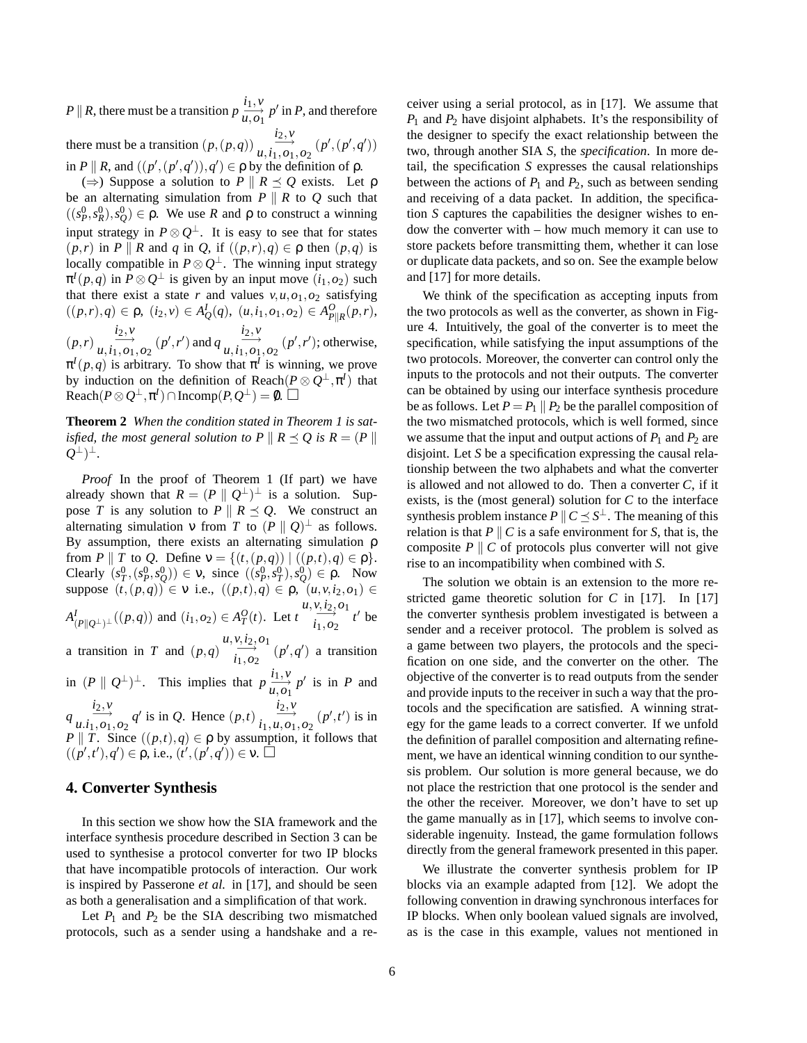*P*  $\parallel$  *R*, there must be a transition  $p \frac{i_1, v}{u, o_1} p'$  in *P*, and therefore there must be a transition  $(p, (p, q))$  $\frac{i_2, v}{\longrightarrow}$  $u, i_1, o_1, o_2 (p', (p', q'))$ in *P* || *R*, and  $((p', (p', q')), q') \in \rho$  by the definition of  $\rho$ .

( $\Rightarrow$ ) Suppose a solution to *P* || *R*  $\leq$  *Q* exists. Let *p* be an alternating simulation from  $P \parallel R$  to  $Q$  such that  $((s_P^0, s_R^0), s_Q^0) \in \rho$ . We use *R* and  $\rho$  to construct a winning input strategy in  $P \otimes Q^{\perp}$ . It is easy to see that for states  $(p, r)$  in *P* || *R* and *q* in *Q*, if  $((p, r), q) \in \rho$  then  $(p, q)$  is locally compatible in  $P \otimes Q^{\perp}$ . The winning input strategy  $\pi^{I}(p,q)$  in  $P \otimes Q^{\perp}$  is given by an input move  $(i_1, o_2)$  such that there exist a state *r* and values  $v, u, o_1, o_2$  satisfying  $((p,r), q) \in \rho, (i_2, v) \in A_Q^I(q), (u, i_1, o_1, o_2) \in A_{P||R}^O(p,r),$ (*p*,*r*)  $\frac{i_2, v}{\longrightarrow}$  $u, i_1, o_1, o_2$   $(p', r')$  and *q*  $\frac{i_2, v}{\longrightarrow}$  $u, i_1, o_1, o_2$  (*p*<sup>*'*</sup>,*r'*); otherwise,  $\pi^{I}(p,q)$  is arbitrary. To show that  $\pi^{I}$  is winning, we prove

by induction on the definition of Reach $(P \otimes Q^{\perp}, \pi^I)$  that  $\text{Reach}(P \otimes Q^{\perp}, \pi^I) \cap \text{Incomp}(P, Q^{\perp}) = \emptyset.$ 

**Theorem 2** *When the condition stated in Theorem 1 is satisfied, the most general solution to P* ||  $R \prec O$  *is*  $R = (P \parallel$  $Q^{\perp})^{\perp}.$ 

*Proof* In the proof of Theorem 1 (If part) we have already shown that  $R = (P \parallel Q^{\perp})^{\perp}$  is a solution. Suppose *T* is any solution to *P* ||  $R \prec Q$ . We construct an alternating simulation v from *T* to  $(P \parallel Q)^{\perp}$  as follows. By assumption, there exists an alternating simulation ρ from *P* || *T* to *Q*. Define  $v = \{(t,(p,q)) | ((p,t),q) \in \rho\}.$  $\text{Clearly } (s_p^0, (s_p^0, s_q^0)) \in \mathsf{v}, \text{ since } ((s_p^0, s_q^0), s_q^0) \in \mathsf{p}.$  Now  $suppose (t, (p,q)) \in V$  i.e.,  $((p,t), q) \in \rho$ ,  $(u, v, i_2, o_1) \in$  $A^I_{(P||Q^{\perp})^{\perp}}((p,q))$  and  $(i_1, o_2) \in A^O_T(t)$ . Let  $t \int_{i_1, o_2}^{u, v, i_2, o_1}$  $\frac{1}{i_1, o_2}$   $t'$  be a transition in *T* and  $(p,q)$   $\frac{u, v, i_2, o_1}{\cdot}$  $\frac{a_1^2+a_2^2}{b_1^2+a_2^2}$  (*p'*,*q'*) a transition in  $(P \parallel Q^{\perp})^{\perp}$ . This implies that  $p \frac{i_1, v}{u, o_1} p'$  is in *P* and *q*  $\frac{i_2, v}{\longrightarrow}$  $u.i_1, o_1, o_2$  *q*<sup>*i*</sup> is in *Q*. Hence  $(p, t)$  $\frac{i_2, v}{\longrightarrow}$  $i_1, u, o_1, o_2$  (*p*<sup>*'*</sup>,*t'*) is in *P*  $\parallel \tilde{T}$ . Since  $((p,t),q) \in \rho$  by assumption, it follows that  $((p', t'), q') ∈ p$ , i.e.,  $(t', (p', q')) ∈ v$ . □

### **4. Converter Synthesis**

In this section we show how the SIA framework and the interface synthesis procedure described in Section 3 can be used to synthesise a protocol converter for two IP blocks that have incompatible protocols of interaction. Our work is inspired by Passerone *et al.* in [17], and should be seen as both a generalisation and a simplification of that work.

Let  $P_1$  and  $P_2$  be the SIA describing two mismatched protocols, such as a sender using a handshake and a receiver using a serial protocol, as in [17]. We assume that *P*<sup>1</sup> and *P*<sup>2</sup> have disjoint alphabets. It's the responsibility of the designer to specify the exact relationship between the two, through another SIA *S*, the *specification*. In more detail, the specification *S* expresses the causal relationships between the actions of  $P_1$  and  $P_2$ , such as between sending and receiving of a data packet. In addition, the specification *S* captures the capabilities the designer wishes to endow the converter with – how much memory it can use to store packets before transmitting them, whether it can lose or duplicate data packets, and so on. See the example below and [17] for more details.

We think of the specification as accepting inputs from the two protocols as well as the converter, as shown in Figure 4. Intuitively, the goal of the converter is to meet the specification, while satisfying the input assumptions of the two protocols. Moreover, the converter can control only the inputs to the protocols and not their outputs. The converter can be obtained by using our interface synthesis procedure be as follows. Let  $P = P_1 \, \| P_2$  be the parallel composition of the two mismatched protocols, which is well formed, since we assume that the input and output actions of  $P_1$  and  $P_2$  are disjoint. Let *S* be a specification expressing the causal relationship between the two alphabets and what the converter is allowed and not allowed to do. Then a converter *C*, if it exists, is the (most general) solution for *C* to the interface synthesis problem instance  $P \parallel C \leq S^{\perp}$ . The meaning of this relation is that  $P \parallel C$  is a safe environment for *S*, that is, the composite  $P \parallel C$  of protocols plus converter will not give rise to an incompatibility when combined with *S*.

The solution we obtain is an extension to the more restricted game theoretic solution for *C* in [17]. In [17] the converter synthesis problem investigated is between a sender and a receiver protocol. The problem is solved as a game between two players, the protocols and the specification on one side, and the converter on the other. The objective of the converter is to read outputs from the sender and provide inputs to the receiver in such a way that the protocols and the specification are satisfied. A winning strategy for the game leads to a correct converter. If we unfold the definition of parallel composition and alternating refinement, we have an identical winning condition to our synthesis problem. Our solution is more general because, we do not place the restriction that one protocol is the sender and the other the receiver. Moreover, we don't have to set up the game manually as in [17], which seems to involve considerable ingenuity. Instead, the game formulation follows directly from the general framework presented in this paper.

We illustrate the converter synthesis problem for IP blocks via an example adapted from [12]. We adopt the following convention in drawing synchronous interfaces for IP blocks. When only boolean valued signals are involved, as is the case in this example, values not mentioned in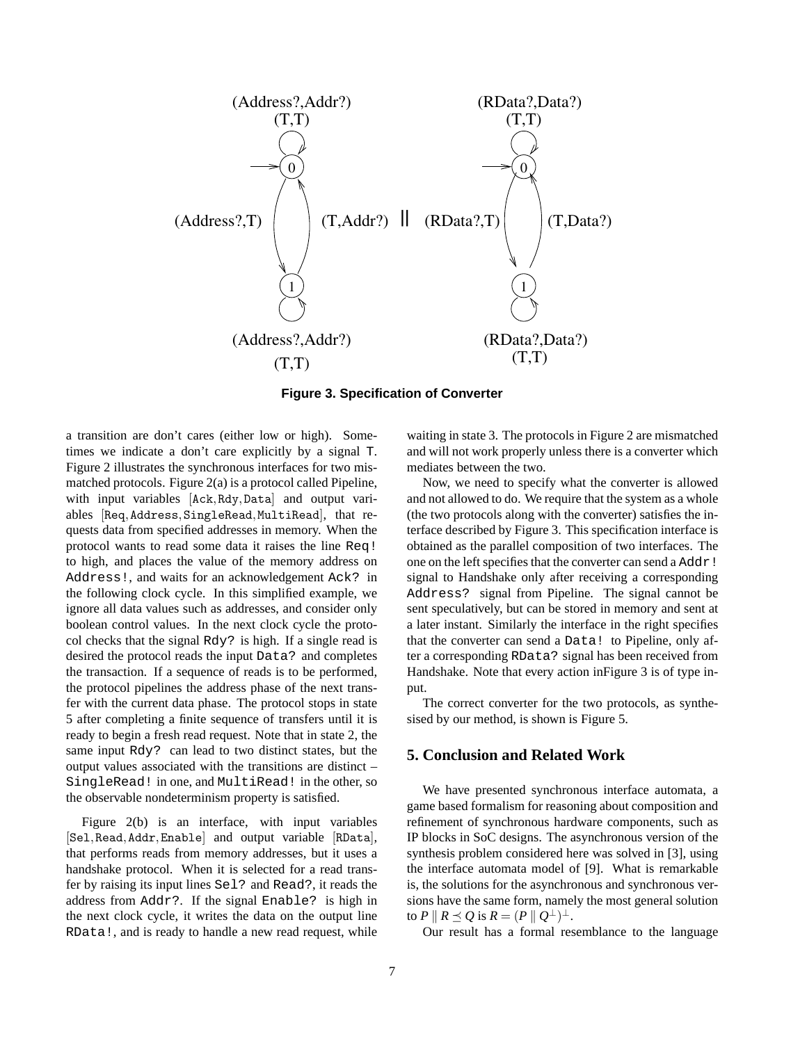

**Figure 3. Specification of Converter**

a transition are don't cares (either low or high). Sometimes we indicate a don't care explicitly by a signal T. Figure 2 illustrates the synchronous interfaces for two mismatched protocols. Figure 2(a) is a protocol called Pipeline, with input variables [Ack, Rdy, Data] and output variables [Req,Address,SingleRead,MultiRead], that requests data from specified addresses in memory. When the protocol wants to read some data it raises the line Req! to high, and places the value of the memory address on Address!, and waits for an acknowledgement Ack? in the following clock cycle. In this simplified example, we ignore all data values such as addresses, and consider only boolean control values. In the next clock cycle the protocol checks that the signal Rdy? is high. If a single read is desired the protocol reads the input Data? and completes the transaction. If a sequence of reads is to be performed, the protocol pipelines the address phase of the next transfer with the current data phase. The protocol stops in state 5 after completing a finite sequence of transfers until it is ready to begin a fresh read request. Note that in state 2, the same input Rdy? can lead to two distinct states, but the output values associated with the transitions are distinct – SingleRead! in one, and MultiRead! in the other, so the observable nondeterminism property is satisfied.

Figure 2(b) is an interface, with input variables [Sel,Read,Addr,Enable] and output variable [RData], that performs reads from memory addresses, but it uses a handshake protocol. When it is selected for a read transfer by raising its input lines Sel? and Read?, it reads the address from Addr?. If the signal Enable? is high in the next clock cycle, it writes the data on the output line RData!, and is ready to handle a new read request, while waiting in state 3. The protocols in Figure 2 are mismatched and will not work properly unless there is a converter which mediates between the two.

Now, we need to specify what the converter is allowed and not allowed to do. We require that the system as a whole (the two protocols along with the converter) satisfies the interface described by Figure 3. This specification interface is obtained as the parallel composition of two interfaces. The one on the left specifies that the converter can send a Addr! signal to Handshake only after receiving a corresponding Address? signal from Pipeline. The signal cannot be sent speculatively, but can be stored in memory and sent at a later instant. Similarly the interface in the right specifies that the converter can send a Data! to Pipeline, only after a corresponding RData? signal has been received from Handshake. Note that every action inFigure 3 is of type input.

The correct converter for the two protocols, as synthesised by our method, is shown is Figure 5.

## **5. Conclusion and Related Work**

We have presented synchronous interface automata, a game based formalism for reasoning about composition and refinement of synchronous hardware components, such as IP blocks in SoC designs. The asynchronous version of the synthesis problem considered here was solved in [3], using the interface automata model of [9]. What is remarkable is, the solutions for the asynchronous and synchronous versions have the same form, namely the most general solution to  $P \parallel R \preceq Q$  is  $R = (P \parallel Q^{\perp})^{\perp}$ .

Our result has a formal resemblance to the language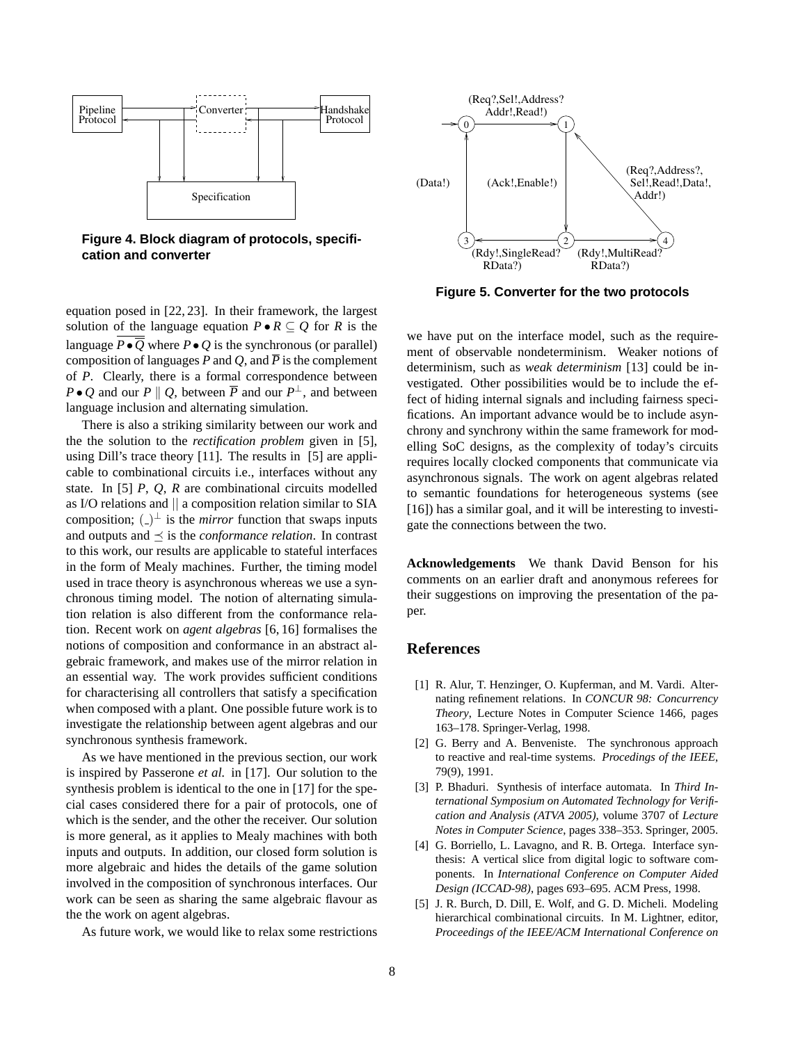

**Figure 4. Block diagram of protocols, specification and converter**

equation posed in [22, 23]. In their framework, the largest solution of the language equation  $P \cdot R \subseteq Q$  for *R* is the language  $P \bullet \overline{Q}$  where  $P \bullet Q$  is the synchronous (or parallel) composition of languages *P* and *Q*, and  $\overline{P}$  is the complement of *P*. Clearly, there is a formal correspondence between *P*  $\bullet$  *Q* and our *P*  $\parallel$  *Q*, between  $\overline{P}$  and our *P*<sup>⊥</sup>, and between language inclusion and alternating simulation.

There is also a striking similarity between our work and the the solution to the *rectification problem* given in [5], using Dill's trace theory [11]. The results in [5] are applicable to combinational circuits i.e., interfaces without any state. In [5] *P*, *Q*, *R* are combinational circuits modelled as I/O relations and || a composition relation similar to SIA composition;  $\left( \_ \right)^\perp$  is the *mirror* function that swaps inputs and outputs and  $\preceq$  is the *conformance relation*. In contrast to this work, our results are applicable to stateful interfaces in the form of Mealy machines. Further, the timing model used in trace theory is asynchronous whereas we use a synchronous timing model. The notion of alternating simulation relation is also different from the conformance relation. Recent work on *agent algebras* [6, 16] formalises the notions of composition and conformance in an abstract algebraic framework, and makes use of the mirror relation in an essential way. The work provides sufficient conditions for characterising all controllers that satisfy a specification when composed with a plant. One possible future work is to investigate the relationship between agent algebras and our synchronous synthesis framework.

As we have mentioned in the previous section, our work is inspired by Passerone *et al.* in [17]. Our solution to the synthesis problem is identical to the one in [17] for the special cases considered there for a pair of protocols, one of which is the sender, and the other the receiver. Our solution is more general, as it applies to Mealy machines with both inputs and outputs. In addition, our closed form solution is more algebraic and hides the details of the game solution involved in the composition of synchronous interfaces. Our work can be seen as sharing the same algebraic flavour as the the work on agent algebras.

As future work, we would like to relax some restrictions



**Figure 5. Converter for the two protocols**

we have put on the interface model, such as the requirement of observable nondeterminism. Weaker notions of determinism, such as *weak determinism* [13] could be investigated. Other possibilities would be to include the effect of hiding internal signals and including fairness specifications. An important advance would be to include asynchrony and synchrony within the same framework for modelling SoC designs, as the complexity of today's circuits requires locally clocked components that communicate via asynchronous signals. The work on agent algebras related to semantic foundations for heterogeneous systems (see [16]) has a similar goal, and it will be interesting to investigate the connections between the two.

**Acknowledgements** We thank David Benson for his comments on an earlier draft and anonymous referees for their suggestions on improving the presentation of the paper.

### **References**

- [1] R. Alur, T. Henzinger, O. Kupferman, and M. Vardi. Alternating refinement relations. In *CONCUR 98: Concurrency Theory*, Lecture Notes in Computer Science 1466, pages 163–178. Springer-Verlag, 1998.
- [2] G. Berry and A. Benveniste. The synchronous approach to reactive and real-time systems. *Procedings of the IEEE*, 79(9), 1991.
- [3] P. Bhaduri. Synthesis of interface automata. In *Third International Symposium on Automated Technology for Verification and Analysis (ATVA 2005)*, volume 3707 of *Lecture Notes in Computer Science*, pages 338–353. Springer, 2005.
- [4] G. Borriello, L. Lavagno, and R. B. Ortega. Interface synthesis: A vertical slice from digital logic to software components. In *International Conference on Computer Aided Design (ICCAD-98)*, pages 693–695. ACM Press, 1998.
- [5] J. R. Burch, D. Dill, E. Wolf, and G. D. Micheli. Modeling hierarchical combinational circuits. In M. Lightner, editor, *Proceedings of the IEEE/ACM International Conference on*